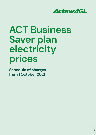

# **ACT Business Saver plan electricity prices**

**Schedule of charges from 1 October 2021**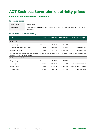# **ACT Business Saver plan electricity prices**

#### **Schedule of charges from 1 October 2021**

#### **Prices explained**

| Supply charge | A fixed price per day.                                                                                                  |
|---------------|-------------------------------------------------------------------------------------------------------------------------|
| Usage charge  | A price per unit of usage (measured in kilowatt hours (kWh)) for the amount of electricity you use at<br>your premises. |

#### **ACT Business customers only**

| Plan                                |            | <b>GST</b> exclusive | <b>GST</b> inclusive | All times are Australian<br><b>Eastern Standard Time</b> |
|-------------------------------------|------------|----------------------|----------------------|----------------------------------------------------------|
| <b>Business Saver plan</b>          |            |                      |                      |                                                          |
| Supply charge                       | \$ per day | 1.186364             | 1.305000             |                                                          |
| Usage for the first 330 kWh per day | $$$ /kWh   | 0.259968             | 0.285935             | All day every day.                                       |
| For usage thereafter                | \$/kWh     | 0.317273             | 0.349000             | All day every day.                                       |

This offer is 18 per cent less than the reference price. Annual cost per year is \$6,196 for an average small business using 20,000 kWh a year in the Evoenergy network.

| <b>Business Saver TOU plan</b> |            |          |          |                       |  |  |  |
|--------------------------------|------------|----------|----------|-----------------------|--|--|--|
| Supply charge                  | \$ per day | 1.186364 | 1.305000 |                       |  |  |  |
| Peak usage                     | \$/kWh     | 0.336364 | 0.370000 | 7am-5pm on weekdays   |  |  |  |
| Shoulder usage                 | \$/kWh     | 0.240909 | 0.265000 | 5pm-10pm on weekdays. |  |  |  |
| Off-peak usage                 | $$$ /kWh   | 0.177273 | 0.195000 | All other times       |  |  |  |

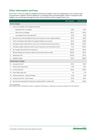#### **Other information and fees**

From time-to-time, you might be charged extra fees and charges. These vary depending on your contract type. If a government, regulator, network distributor or a metering service provider applies, varies or introduces a fee, charge or tax, we may pass through all or part of this varied or new fee, charge or tax to you.

|     |                                                                                    | <b>GST exclusive</b> | <b>GST inclusive</b> |  |  |  |  |
|-----|------------------------------------------------------------------------------------|----------------------|----------------------|--|--|--|--|
|     | Service charges                                                                    |                      |                      |  |  |  |  |
| 1.  | Visit to re-energise or de-energise a premises                                     |                      |                      |  |  |  |  |
|     | Business hours re-energise<br>$\bullet$                                            | 81.92                | 90.11                |  |  |  |  |
|     | After hours re-energise<br>$\bullet$                                               | 102.27               | 112.50               |  |  |  |  |
|     | de-energise (not for late payment)<br>$\bullet$                                    | 81.92                | 90.11                |  |  |  |  |
| 2.  | Special meter read (including moving in and moving out of your supply address)     | 35.44                | 38.98                |  |  |  |  |
| 3.  | Check read deposit (refunded if the original reading was incorrect)                | 35.44                | 38.98                |  |  |  |  |
| 4.  | Attendance (debt collection) first visit in a 12-month period (in business hours)  | 59.09                | 65.00                |  |  |  |  |
| 5.  | Attendance (debt collection) within a year of a previous visit (in business hours) | 77.27                | 85.00                |  |  |  |  |
| 6.  | De-energise a premises for non-payment                                             | 163.83               | 180.21               |  |  |  |  |
| 7.  | Manual reading service fee per read for smart meters (fee per read)                | 105.00               | 115.50               |  |  |  |  |
| 8.  | Wasted site visit                                                                  | 102.00               | 112.20               |  |  |  |  |
| 9.  | Establish supply                                                                   | 135.16               | 148.68               |  |  |  |  |
|     | <b>Administration charges</b>                                                      |                      |                      |  |  |  |  |
| 10. | Late payment fee*                                                                  | 15.00                | 15.00                |  |  |  |  |
| 11. | Dishonoured cheque fee*                                                            | 5.00                 | 5.00                 |  |  |  |  |
| 12. | Card reversal fee*                                                                 | 30.00                | 30.00                |  |  |  |  |
| 13. | Direct debit reject fee*                                                           | 1.15                 | 1.15                 |  |  |  |  |
| 14. | Cheque refund fee - personal cheque                                                | 0.40                 | 0.44                 |  |  |  |  |
| 15. | Cheque refund fee - bank cheque                                                    | 15.00                | 16.50                |  |  |  |  |
| 16. | Payment processing fee (% of payment made by debit or credit card)                 | 0.41%                | 0.45%                |  |  |  |  |

\* GST not applicable

Note: Distributor fees not listed above will be on-charged by the distributor. Complex jobs may require a quotation from the distributor.